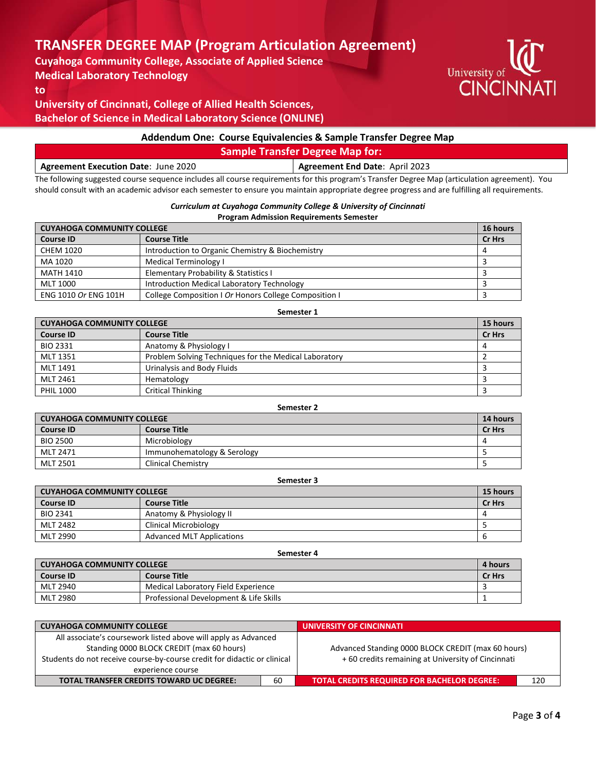# **TRANSFER DEGREE MAP (Program Articulation Agreement)**

**Cuyahoga Community College, Associate of Applied Science**

**Medical Laboratory Technology**

**to** 

**University of Cincinnati, College of Allied Health Sciences, Bachelor of Science in Medical Laboratory Science (ONLINE)**

# **Addendum One: Course Equivalencies & Sample Transfer Degree Map**

**Sample Transfer Degree Map for:**

| <b>Agreement Execution Date: June 2020</b> | Agreement End Date: April 2023 |
|--------------------------------------------|--------------------------------|
|                                            |                                |

The following suggested course sequence includes all course requirements for this program's Transfer Degree Map (articulation agreement). You should consult with an academic advisor each semester to ensure you maintain appropriate degree progress and are fulfilling all requirements.

### *Curriculum at Cuyahoga Community College & University of Cincinnati* **Program Admission Requirements Semester**

| <b>CUYAHOGA COMMUNITY COLLEGE</b> |                                                       | 16 hours |
|-----------------------------------|-------------------------------------------------------|----------|
| <b>Course ID</b>                  | <b>Course Title</b>                                   | Cr Hrs   |
| CHEM 1020                         | Introduction to Organic Chemistry & Biochemistry      |          |
| MA 1020                           | <b>Medical Terminology I</b>                          |          |
| MATH 1410                         | Elementary Probability & Statistics I                 |          |
| MLT 1000                          | Introduction Medical Laboratory Technology            |          |
| ENG 1010 Or ENG 101H              | College Composition I Or Honors College Composition I |          |

## **Semester 1**

| <b>CUYAHOGA COMMUNITY COLLEGE</b> |                                                       | 15 hours |
|-----------------------------------|-------------------------------------------------------|----------|
| <b>Course ID</b>                  | <b>Course Title</b>                                   | Cr Hrs   |
| <b>BIO 2331</b>                   | Anatomy & Physiology I                                |          |
| MLT 1351                          | Problem Solving Techniques for the Medical Laboratory |          |
| MLT 1491                          | Urinalysis and Body Fluids                            |          |
| MLT 2461                          | Hematology                                            |          |
| <b>PHIL 1000</b>                  | <b>Critical Thinking</b>                              |          |

### **Semester 2**

| <b>CUYAHOGA COMMUNITY COLLEGE</b> |                             | 14 hours      |
|-----------------------------------|-----------------------------|---------------|
| <b>Course ID</b>                  | Course Title                | <b>Cr Hrs</b> |
| BIO 2500                          | Microbiology                |               |
| MLT 2471                          | Immunohematology & Serology |               |
| MLT 2501                          | <b>Clinical Chemistry</b>   |               |

# **Semester 3**

**Semester 4**

| <b>CUYAHOGA COMMUNITY COLLEGE</b> |                                  | <b>15 hours</b> |
|-----------------------------------|----------------------------------|-----------------|
| <b>Course ID</b>                  | Course Title                     | <b>Cr Hrs</b>   |
| <b>BIO 2341</b>                   | Anatomy & Physiology II          | $\prime$        |
| MLT 2482                          | Clinical Microbiology            |                 |
| MLT 2990                          | <b>Advanced MLT Applications</b> | b               |

|                                   | JUNUJU T                               |               |
|-----------------------------------|----------------------------------------|---------------|
| <b>CUYAHOGA COMMUNITY COLLEGE</b> |                                        | 4 hours       |
| <b>Course ID</b>                  | <b>Course Title</b>                    | <b>Cr Hrs</b> |
| MLT 2940                          | Medical Laboratory Field Experience    |               |
| MLT 2980                          | Professional Development & Life Skills |               |

| <b>CUYAHOGA COMMUNITY COLLEGE</b>                                        | UNIVERSITY OF CINCINNATI |                                                                                                         |     |
|--------------------------------------------------------------------------|--------------------------|---------------------------------------------------------------------------------------------------------|-----|
| All associate's coursework listed above will apply as Advanced           |                          |                                                                                                         |     |
| Standing 0000 BLOCK CREDIT (max 60 hours)                                |                          | Advanced Standing 0000 BLOCK CREDIT (max 60 hours)<br>+60 credits remaining at University of Cincinnati |     |
| Students do not receive course-by-course credit for didactic or clinical |                          |                                                                                                         |     |
| experience course                                                        |                          |                                                                                                         |     |
| <b>TOTAL TRANSFER CREDITS TOWARD UC DEGREE:</b>                          | -60                      | <b>TOTAL CREDITS REQUIRED FOR BACHELOR DEGREE:</b>                                                      | 120 |